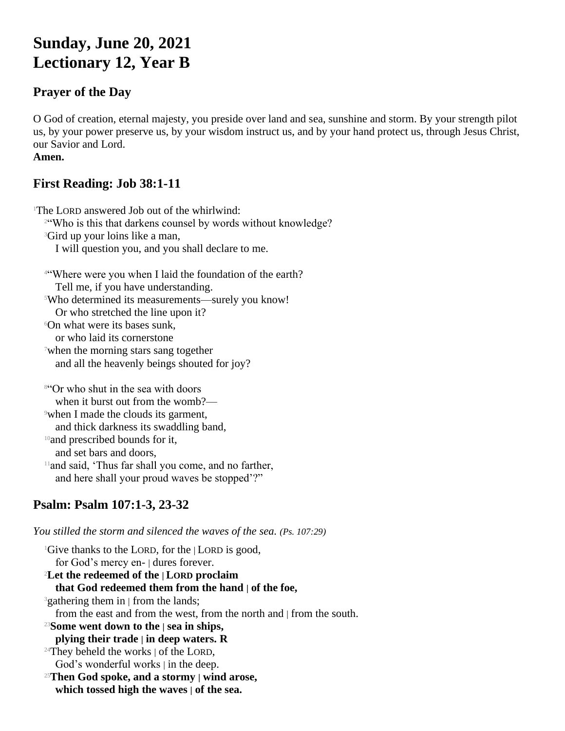# **Sunday, June 20, 2021 Lectionary 12, Year B**

#### **Prayer of the Day**

O God of creation, eternal majesty, you preside over land and sea, sunshine and storm. By your strength pilot us, by your power preserve us, by your wisdom instruct us, and by your hand protect us, through Jesus Christ, our Savior and Lord.

#### **Amen.**

# **First Reading: Job 38:1-11**

<sup>1</sup>The LORD answered Job out of the whirlwind: <sup>24</sup>Who is this that darkens counsel by words without knowledge? <sup>3</sup>Gird up your loins like a man, I will question you, and you shall declare to me. <sup>4</sup>"Where were you when I laid the foundation of the earth? Tell me, if you have understanding. <sup>5</sup>Who determined its measurements—surely you know! Or who stretched the line upon it? <sup>6</sup>On what were its bases sunk,

or who laid its cornerstone

<sup>7</sup>when the morning stars sang together and all the heavenly beings shouted for joy?

<sup>8</sup>"Or who shut in the sea with doors when it burst out from the womb?— <sup>9</sup>when I made the clouds its garment, and thick darkness its swaddling band, <sup>10</sup> and prescribed bounds for it, and set bars and doors,  $11$ and said, 'Thus far shall you come, and no farther, and here shall your proud waves be stopped'?"

# **Psalm: Psalm 107:1-3, 23-32**

*You stilled the storm and silenced the waves of the sea. (Ps. 107:29)*

<sup>1</sup>Give thanks to the LORD, for the  $|$ LORD is good, for God's mercy en- | dures forever. <sup>2</sup>**Let the redeemed of the | LORD proclaim that God redeemed them from the hand | of the foe,** <sup>3</sup>gathering them in | from the lands; from the east and from the west, from the north and | from the south. <sup>23</sup>**Some went down to the | sea in ships, plying their trade | in deep waters. R**  $24$ They beheld the works  $\vert$  of the LORD, God's wonderful works | in the deep. <sup>25</sup>**Then God spoke, and a stormy | wind arose, which tossed high the waves | of the sea.**